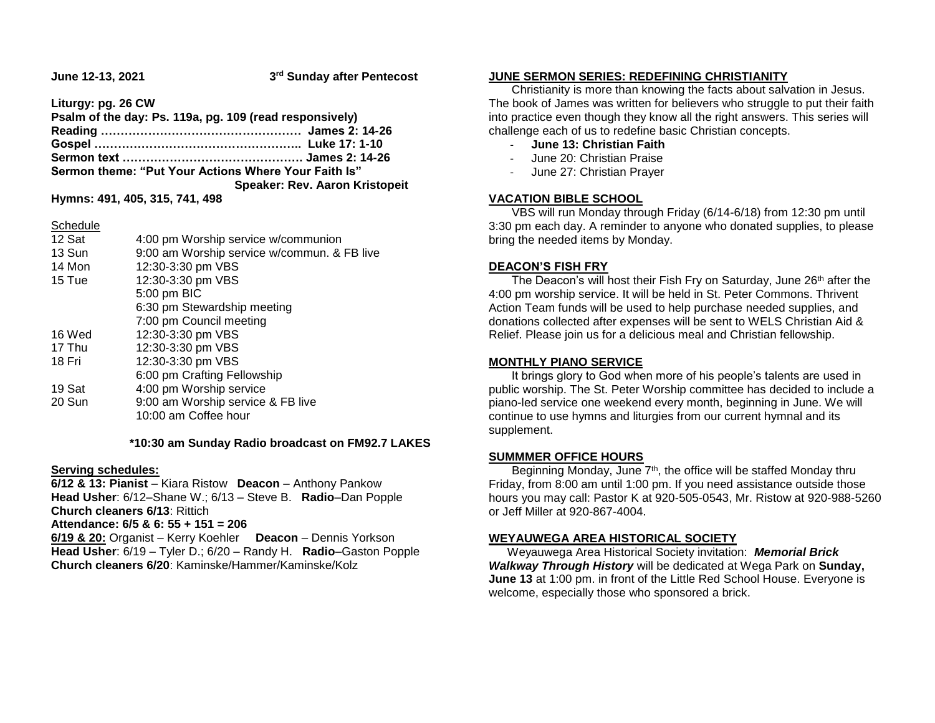**June 12-13, 2021** 

**rd Sunday after Pentecost**

**Liturgy: pg. 26 CW**

| Psalm of the day: Ps. 119a, pg. 109 (read responsively) |                                       |
|---------------------------------------------------------|---------------------------------------|
|                                                         |                                       |
|                                                         |                                       |
|                                                         |                                       |
| Sermon theme: "Put Your Actions Where Your Faith Is"    |                                       |
|                                                         | <b>Speaker: Rev. Aaron Kristopeit</b> |
| $\cdots$ and $\cdots$ are $\cdots$ and $\cdots$         |                                       |

**Hymns: 491, 405, 315, 741, 498**

Schedule

| 12 Sat | 4:00 pm Worship service w/communion         |
|--------|---------------------------------------------|
| 13 Sun | 9:00 am Worship service w/commun. & FB live |
| 14 Mon | 12:30-3:30 pm VBS                           |
| 15 Tue | 12:30-3:30 pm VBS                           |
|        | 5:00 pm BIC                                 |
|        | 6:30 pm Stewardship meeting                 |
|        | 7:00 pm Council meeting                     |
| 16 Wed | 12:30-3:30 pm VBS                           |
| 17 Thu | 12:30-3:30 pm VBS                           |
| 18 Fri | 12:30-3:30 pm VBS                           |
|        | 6:00 pm Crafting Fellowship                 |
| 19 Sat | 4:00 pm Worship service                     |
| 20 Sun | 9:00 am Worship service & FB live           |
|        | 10:00 am Coffee hour                        |
|        |                                             |

 **\*10:30 am Sunday Radio broadcast on FM92.7 LAKES**

### **Serving schedules:**

**6/12 & 13: Pianist** – Kiara Ristow **Deacon** – Anthony Pankow **Head Usher**: 6/12–Shane W.; 6/13 – Steve B. **Radio**–Dan Popple **Church cleaners 6/13**: Rittich **Attendance: 6/5 & 6: 55 + 151 = 206 6/19 & 20:** Organist – Kerry Koehler **Deacon** – Dennis Yorkson **Head Usher**: 6/19 – Tyler D.; 6/20 – Randy H. **Radio**–Gaston Popple **Church cleaners 6/20**: Kaminske/Hammer/Kaminske/Kolz

### **JUNE SERMON SERIES: REDEFINING CHRISTIANITY**

 Christianity is more than knowing the facts about salvation in Jesus. The book of James was written for believers who struggle to put their faith into practice even though they know all the right answers. This series will challenge each of us to redefine basic Christian concepts.

- **June 13: Christian Faith**
- June 20: Christian Praise
- June 27: Christian Prayer

# **VACATION BIBLE SCHOOL**

 VBS will run Monday through Friday (6/14-6/18) from 12:30 pm until 3:30 pm each day. A reminder to anyone who donated supplies, to please bring the needed items by Monday.

# **DEACON'S FISH FRY**

The Deacon's will host their Fish Fry on Saturday, June 26<sup>th</sup> after the 4:00 pm worship service. It will be held in St. Peter Commons. Thrivent Action Team funds will be used to help purchase needed supplies, and donations collected after expenses will be sent to WELS Christian Aid & Relief. Please join us for a delicious meal and Christian fellowship.

### **MONTHLY PIANO SERVICE**

 It brings glory to God when more of his people's talents are used in public worship. The St. Peter Worship committee has decided to include a piano-led service one weekend every month, beginning in June. We will continue to use hymns and liturgies from our current hymnal and its supplement.

### **SUMMMER OFFICE HOURS**

Beginning Monday, June 7<sup>th</sup>, the office will be staffed Monday thru Friday, from 8:00 am until 1:00 pm. If you need assistance outside those hours you may call: Pastor K at 920-505-0543, Mr. Ristow at 920-988-5260 or Jeff Miller at 920-867-4004.

### **WEYAUWEGA AREA HISTORICAL SOCIETY**

 Weyauwega Area Historical Society invitation: *Memorial Brick Walkway Through History* will be dedicated at Wega Park on **Sunday, June 13** at 1:00 pm. in front of the Little Red School House. Everyone is welcome, especially those who sponsored a brick.